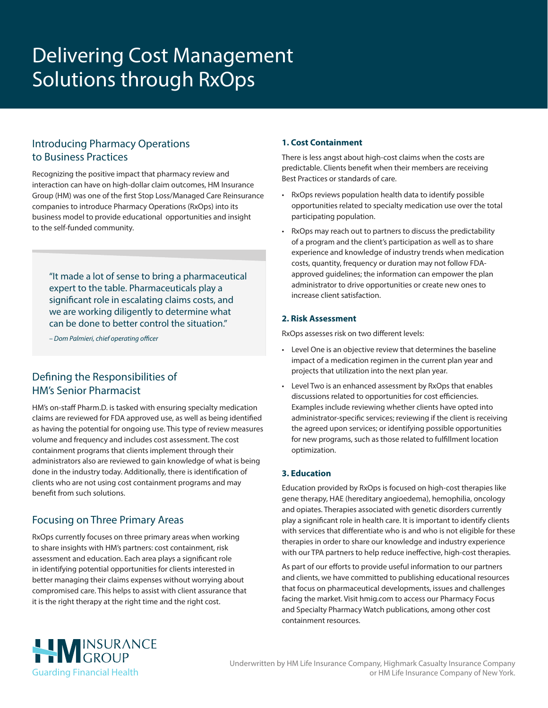# Delivering Cost Management Solutions through RxOps

## Introducing Pharmacy Operations to Business Practices

Recognizing the positive impact that pharmacy review and interaction can have on high-dollar claim outcomes, HM Insurance Group (HM) was one of the first Stop Loss/Managed Care Reinsurance companies to introduce Pharmacy Operations (RxOps) into its business model to provide educational opportunities and insight to the self-funded community.

"It made a lot of sense to bring a pharmaceutical expert to the table. Pharmaceuticals play a significant role in escalating claims costs, and we are working diligently to determine what can be done to better control the situation."

*– Dom Palmieri, chief operating officer*

## Defining the Responsibilities of HM's Senior Pharmacist

HM's on-staff Pharm.D. is tasked with ensuring specialty medication claims are reviewed for FDA approved use, as well as being identified as having the potential for ongoing use. This type of review measures volume and frequency and includes cost assessment. The cost containment programs that clients implement through their administrators also are reviewed to gain knowledge of what is being done in the industry today. Additionally, there is identification of clients who are not using cost containment programs and may benefit from such solutions.

## Focusing on Three Primary Areas

RxOps currently focuses on three primary areas when working to share insights with HM's partners: cost containment, risk assessment and education. Each area plays a significant role in identifying potential opportunities for clients interested in better managing their claims expenses without worrying about compromised care. This helps to assist with client assurance that it is the right therapy at the right time and the right cost.

#### **1. Cost Containment**

There is less angst about high-cost claims when the costs are predictable. Clients benefit when their members are receiving Best Practices or standards of care.

- RxOps reviews population health data to identify possible opportunities related to specialty medication use over the total participating population.
- RxOps may reach out to partners to discuss the predictability of a program and the client's participation as well as to share experience and knowledge of industry trends when medication costs, quantity, frequency or duration may not follow FDAapproved guidelines; the information can empower the plan administrator to drive opportunities or create new ones to increase client satisfaction.

#### **2. Risk Assessment**

RxOps assesses risk on two different levels:

- Level One is an objective review that determines the baseline impact of a medication regimen in the current plan year and projects that utilization into the next plan year.
- Level Two is an enhanced assessment by RxOps that enables discussions related to opportunities for cost efficiencies. Examples include reviewing whether clients have opted into administrator-specific services; reviewing if the client is receiving the agreed upon services; or identifying possible opportunities for new programs, such as those related to fulfillment location optimization.

### **3. Education**

Education provided by RxOps is focused on high-cost therapies like gene therapy, HAE (hereditary angioedema), hemophilia, oncology and opiates. Therapies associated with genetic disorders currently play a significant role in health care. It is important to identify clients with services that differentiate who is and who is not eligible for these therapies in order to share our knowledge and industry experience with our TPA partners to help reduce ineffective, high-cost therapies.

As part of our efforts to provide useful information to our partners and clients, we have committed to publishing educational resources that focus on pharmaceutical developments, issues and challenges facing the market. Visit [hmig.com](https://www.hmig.com/) to access our Pharmacy Focus and Specialty Pharmacy Watch publications, among other cost containment resources.